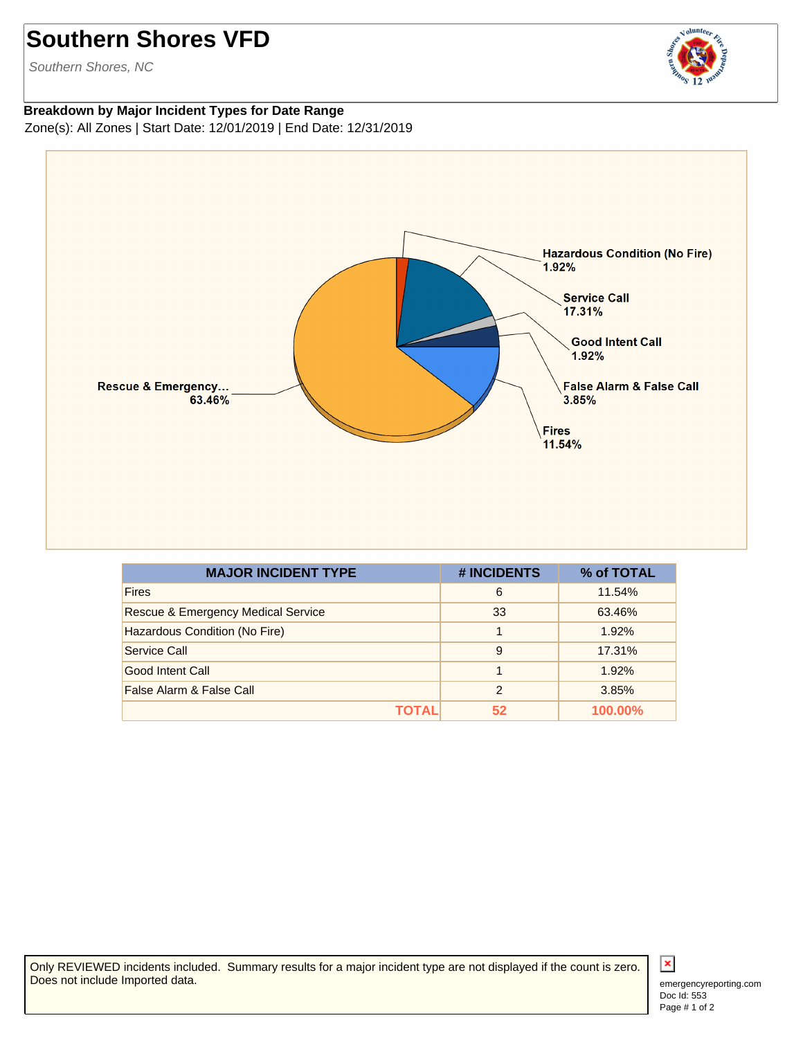## **Southern Shores VFD**

Southern Shores, NC

## **Breakdown by Major Incident Types for Date Range** Zone(s): All Zones | Start Date: 12/01/2019 | End Date: 12/31/2019



| <b>MAJOR INCIDENT TYPE</b>                    | # INCIDENTS    | % of TOTAL     |
|-----------------------------------------------|----------------|----------------|
| <b>Fires</b>                                  | 6              | 11.54%         |
| <b>Rescue &amp; Emergency Medical Service</b> | 33             | 63.46%         |
| Hazardous Condition (No Fire)                 |                | 1.92%          |
| Service Call                                  | 9              | 17.31%         |
| Good Intent Call                              |                | 1.92%          |
| False Alarm & False Call                      | $\mathfrak{p}$ | 3.85%          |
| ΤΟΤΑL                                         | 52             | <b>100.00%</b> |

Only REVIEWED incidents included. Summary results for a major incident type are not displayed if the count is zero. Does not include Imported data.